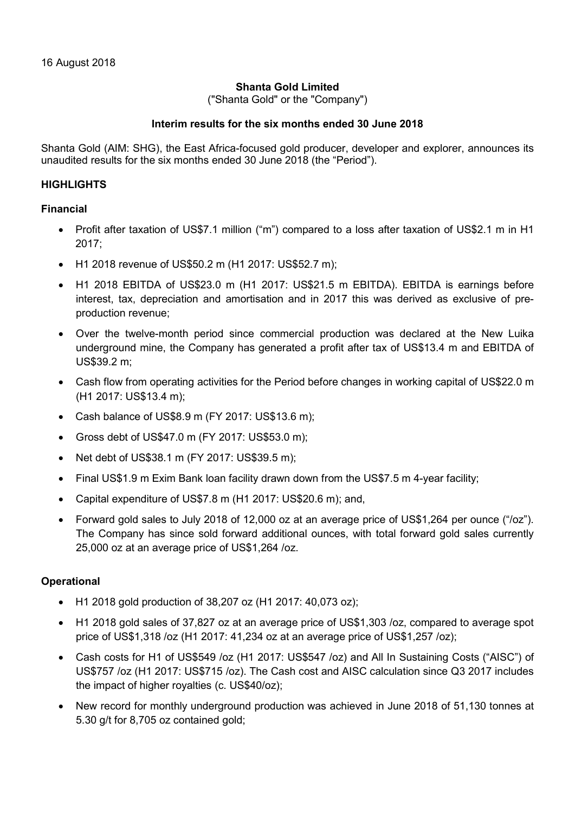### Shanta Gold Limited

("Shanta Gold" or the "Company")

### Interim results for the six months ended 30 June 2018

Shanta Gold (AIM: SHG), the East Africa-focused gold producer, developer and explorer, announces its unaudited results for the six months ended 30 June 2018 (the "Period").

### **HIGHLIGHTS**

### Financial

- Profit after taxation of US\$7.1 million ("m") compared to a loss after taxation of US\$2.1 m in H1 2017;
- H1 2018 revenue of US\$50.2 m (H1 2017: US\$52.7 m);
- H1 2018 EBITDA of US\$23.0 m (H1 2017: US\$21.5 m EBITDA). EBITDA is earnings before interest, tax, depreciation and amortisation and in 2017 this was derived as exclusive of preproduction revenue;
- Over the twelve-month period since commercial production was declared at the New Luika underground mine, the Company has generated a profit after tax of US\$13.4 m and EBITDA of US\$39.2 m;
- Cash flow from operating activities for the Period before changes in working capital of US\$22.0 m (H1 2017: US\$13.4 m);
- Cash balance of US\$8.9 m (FY 2017: US\$13.6 m);
- Gross debt of US\$47.0 m (FY 2017: US\$53.0 m);
- Net debt of US\$38.1 m (FY 2017: US\$39.5 m);
- Final US\$1.9 m Exim Bank loan facility drawn down from the US\$7.5 m 4-year facility;
- Capital expenditure of US\$7.8 m (H1 2017: US\$20.6 m); and,
- Forward gold sales to July 2018 of 12,000 oz at an average price of US\$1,264 per ounce ("/oz"). The Company has since sold forward additional ounces, with total forward gold sales currently 25,000 oz at an average price of US\$1,264 /oz.

### **Operational**

- H1 2018 gold production of 38,207 oz (H1 2017: 40,073 oz);
- H1 2018 gold sales of 37,827 oz at an average price of US\$1,303 /oz, compared to average spot price of US\$1,318 /oz (H1 2017: 41,234 oz at an average price of US\$1,257 /oz);
- Cash costs for H1 of US\$549 /oz (H1 2017: US\$547 /oz) and All In Sustaining Costs ("AISC") of US\$757 /oz (H1 2017: US\$715 /oz). The Cash cost and AISC calculation since Q3 2017 includes the impact of higher royalties (c. US\$40/oz);
- New record for monthly underground production was achieved in June 2018 of 51,130 tonnes at 5.30 g/t for 8,705 oz contained gold;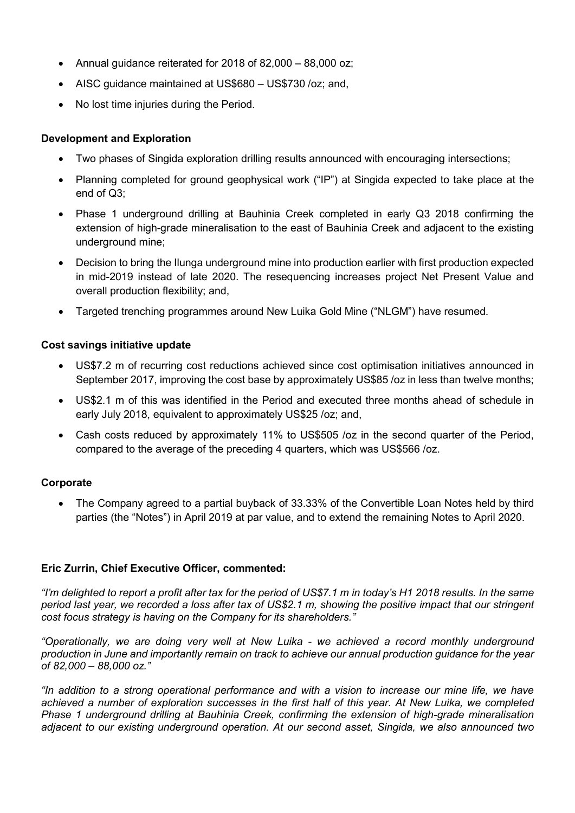- Annual guidance reiterated for 2018 of 82,000 88,000 oz;
- AISC guidance maintained at US\$680 US\$730 /oz; and,
- No lost time injuries during the Period.

### Development and Exploration

- Two phases of Singida exploration drilling results announced with encouraging intersections;
- Planning completed for ground geophysical work ("IP") at Singida expected to take place at the end of Q3;
- Phase 1 underground drilling at Bauhinia Creek completed in early Q3 2018 confirming the extension of high-grade mineralisation to the east of Bauhinia Creek and adjacent to the existing underground mine;
- Decision to bring the Ilunga underground mine into production earlier with first production expected in mid-2019 instead of late 2020. The resequencing increases project Net Present Value and overall production flexibility; and,
- Targeted trenching programmes around New Luika Gold Mine ("NLGM") have resumed.

## Cost savings initiative update

- US\$7.2 m of recurring cost reductions achieved since cost optimisation initiatives announced in September 2017, improving the cost base by approximately US\$85 /oz in less than twelve months;
- US\$2.1 m of this was identified in the Period and executed three months ahead of schedule in early July 2018, equivalent to approximately US\$25 /oz; and,
- Cash costs reduced by approximately 11% to US\$505 /oz in the second quarter of the Period, compared to the average of the preceding 4 quarters, which was US\$566 /oz.

## **Corporate**

 The Company agreed to a partial buyback of 33.33% of the Convertible Loan Notes held by third parties (the "Notes") in April 2019 at par value, and to extend the remaining Notes to April 2020.

### Eric Zurrin, Chief Executive Officer, commented:

"I'm delighted to report a profit after tax for the period of US\$7.1 m in today's H1 2018 results. In the same period last year, we recorded a loss after tax of US\$2.1 m, showing the positive impact that our stringent cost focus strategy is having on the Company for its shareholders."

"Operationally, we are doing very well at New Luika - we achieved a record monthly underground production in June and importantly remain on track to achieve our annual production guidance for the year of 82,000 – 88,000 oz."

"In addition to a strong operational performance and with a vision to increase our mine life, we have achieved a number of exploration successes in the first half of this year. At New Luika, we completed Phase 1 underground drilling at Bauhinia Creek, confirming the extension of high-grade mineralisation adjacent to our existing underground operation. At our second asset, Singida, we also announced two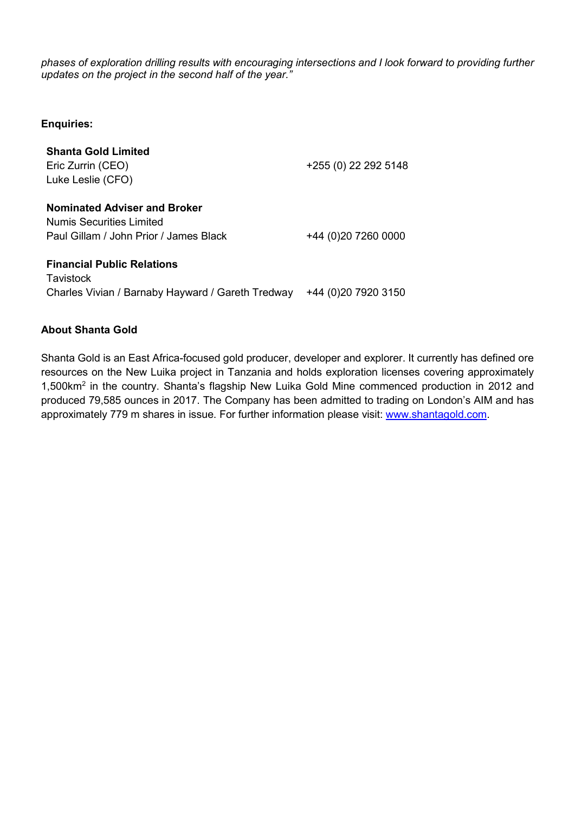phases of exploration drilling results with encouraging intersections and I look forward to providing further updates on the project in the second half of the year."

Enquiries:

| <b>Shanta Gold Limited</b><br>Eric Zurrin (CEO)<br>Luke Leslie (CFO)                                             | +255 (0) 22 292 5148  |
|------------------------------------------------------------------------------------------------------------------|-----------------------|
| <b>Nominated Adviser and Broker</b><br><b>Numis Securities Limited</b><br>Paul Gillam / John Prior / James Black | +44 (0)20 7260 0000   |
| <b>Financial Public Relations</b><br>Tavistock<br>Charles Vivian / Barnaby Hayward / Gareth Tredway              | +44 (0) 20 79 20 3150 |

### About Shanta Gold

Shanta Gold is an East Africa-focused gold producer, developer and explorer. It currently has defined ore resources on the New Luika project in Tanzania and holds exploration licenses covering approximately 1,500km<sup>2</sup> in the country. Shanta's flagship New Luika Gold Mine commenced production in 2012 and produced 79,585 ounces in 2017. The Company has been admitted to trading on London's AIM and has approximately 779 m shares in issue. For further information please visit: www.shantagold.com.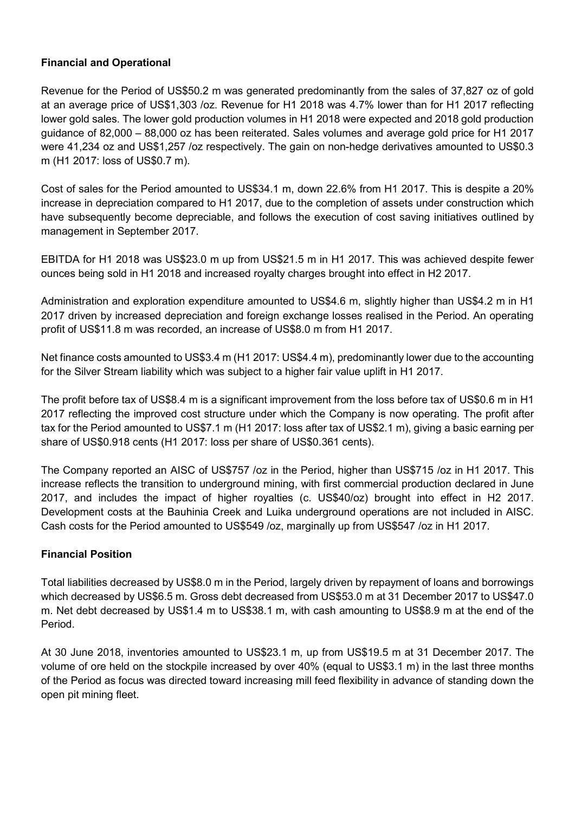## Financial and Operational

Revenue for the Period of US\$50.2 m was generated predominantly from the sales of 37,827 oz of gold at an average price of US\$1,303 /oz. Revenue for H1 2018 was 4.7% lower than for H1 2017 reflecting lower gold sales. The lower gold production volumes in H1 2018 were expected and 2018 gold production guidance of 82,000 – 88,000 oz has been reiterated. Sales volumes and average gold price for H1 2017 were 41,234 oz and US\$1,257 /oz respectively. The gain on non-hedge derivatives amounted to US\$0.3 m (H1 2017: loss of US\$0.7 m).

Cost of sales for the Period amounted to US\$34.1 m, down 22.6% from H1 2017. This is despite a 20% increase in depreciation compared to H1 2017, due to the completion of assets under construction which have subsequently become depreciable, and follows the execution of cost saving initiatives outlined by management in September 2017.

EBITDA for H1 2018 was US\$23.0 m up from US\$21.5 m in H1 2017. This was achieved despite fewer ounces being sold in H1 2018 and increased royalty charges brought into effect in H2 2017.

Administration and exploration expenditure amounted to US\$4.6 m, slightly higher than US\$4.2 m in H1 2017 driven by increased depreciation and foreign exchange losses realised in the Period. An operating profit of US\$11.8 m was recorded, an increase of US\$8.0 m from H1 2017.

Net finance costs amounted to US\$3.4 m (H1 2017: US\$4.4 m), predominantly lower due to the accounting for the Silver Stream liability which was subject to a higher fair value uplift in H1 2017.

The profit before tax of US\$8.4 m is a significant improvement from the loss before tax of US\$0.6 m in H1 2017 reflecting the improved cost structure under which the Company is now operating. The profit after tax for the Period amounted to US\$7.1 m (H1 2017: loss after tax of US\$2.1 m), giving a basic earning per share of US\$0.918 cents (H1 2017: loss per share of US\$0.361 cents).

The Company reported an AISC of US\$757 /oz in the Period, higher than US\$715 /oz in H1 2017. This increase reflects the transition to underground mining, with first commercial production declared in June 2017, and includes the impact of higher royalties (c. US\$40/oz) brought into effect in H2 2017. Development costs at the Bauhinia Creek and Luika underground operations are not included in AISC. Cash costs for the Period amounted to US\$549 /oz, marginally up from US\$547 /oz in H1 2017.

## Financial Position

Total liabilities decreased by US\$8.0 m in the Period, largely driven by repayment of loans and borrowings which decreased by US\$6.5 m. Gross debt decreased from US\$53.0 m at 31 December 2017 to US\$47.0 m. Net debt decreased by US\$1.4 m to US\$38.1 m, with cash amounting to US\$8.9 m at the end of the Period.

At 30 June 2018, inventories amounted to US\$23.1 m, up from US\$19.5 m at 31 December 2017. The volume of ore held on the stockpile increased by over 40% (equal to US\$3.1 m) in the last three months of the Period as focus was directed toward increasing mill feed flexibility in advance of standing down the open pit mining fleet.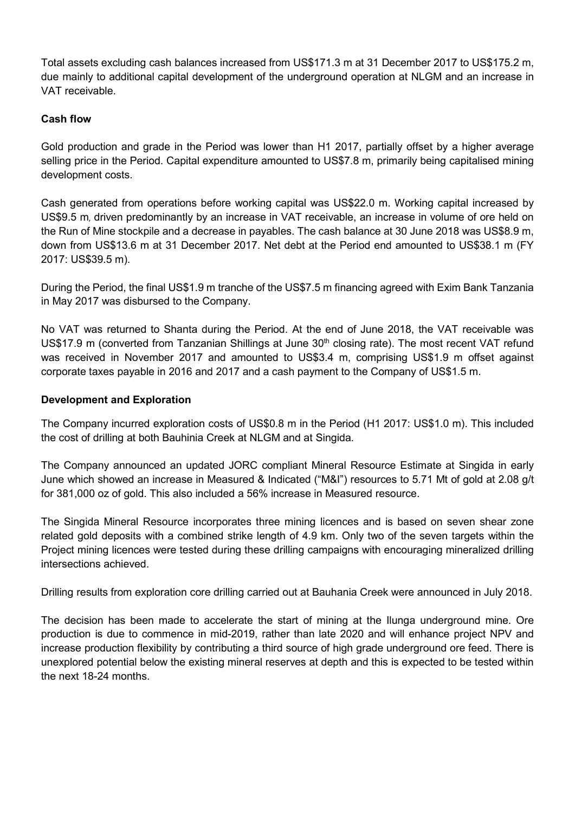Total assets excluding cash balances increased from US\$171.3 m at 31 December 2017 to US\$175.2 m, due mainly to additional capital development of the underground operation at NLGM and an increase in VAT receivable.

## Cash flow

Gold production and grade in the Period was lower than H1 2017, partially offset by a higher average selling price in the Period. Capital expenditure amounted to US\$7.8 m, primarily being capitalised mining development costs.

Cash generated from operations before working capital was US\$22.0 m. Working capital increased by US\$9.5 m, driven predominantly by an increase in VAT receivable, an increase in volume of ore held on the Run of Mine stockpile and a decrease in payables. The cash balance at 30 June 2018 was US\$8.9 m, down from US\$13.6 m at 31 December 2017. Net debt at the Period end amounted to US\$38.1 m (FY 2017: US\$39.5 m).

During the Period, the final US\$1.9 m tranche of the US\$7.5 m financing agreed with Exim Bank Tanzania in May 2017 was disbursed to the Company.

No VAT was returned to Shanta during the Period. At the end of June 2018, the VAT receivable was US\$17.9 m (converted from Tanzanian Shillings at June 30<sup>th</sup> closing rate). The most recent VAT refund was received in November 2017 and amounted to US\$3.4 m, comprising US\$1.9 m offset against corporate taxes payable in 2016 and 2017 and a cash payment to the Company of US\$1.5 m.

### Development and Exploration

The Company incurred exploration costs of US\$0.8 m in the Period (H1 2017: US\$1.0 m). This included the cost of drilling at both Bauhinia Creek at NLGM and at Singida.

The Company announced an updated JORC compliant Mineral Resource Estimate at Singida in early June which showed an increase in Measured & Indicated ("M&I") resources to 5.71 Mt of gold at 2.08 g/t for 381,000 oz of gold. This also included a 56% increase in Measured resource.

The Singida Mineral Resource incorporates three mining licences and is based on seven shear zone related gold deposits with a combined strike length of 4.9 km. Only two of the seven targets within the Project mining licences were tested during these drilling campaigns with encouraging mineralized drilling intersections achieved.

Drilling results from exploration core drilling carried out at Bauhania Creek were announced in July 2018.

The decision has been made to accelerate the start of mining at the Ilunga underground mine. Ore production is due to commence in mid-2019, rather than late 2020 and will enhance project NPV and increase production flexibility by contributing a third source of high grade underground ore feed. There is unexplored potential below the existing mineral reserves at depth and this is expected to be tested within the next 18-24 months.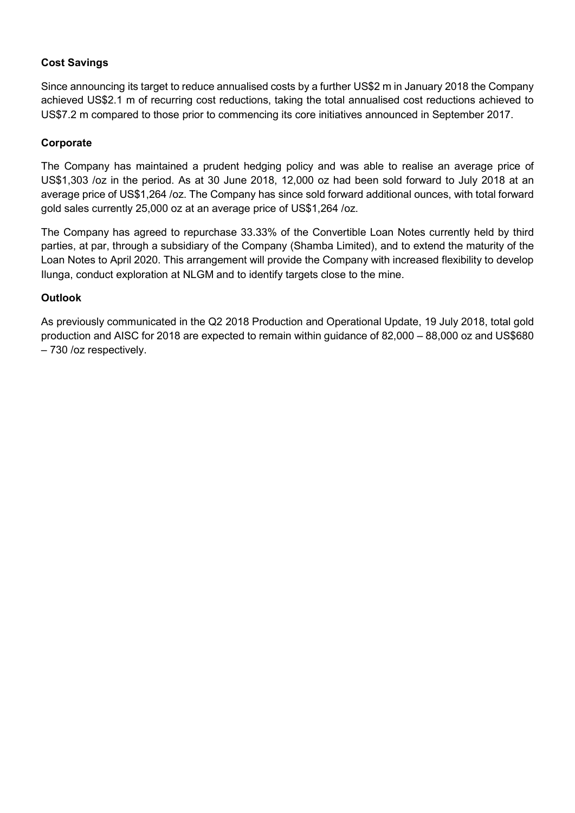## Cost Savings

Since announcing its target to reduce annualised costs by a further US\$2 m in January 2018 the Company achieved US\$2.1 m of recurring cost reductions, taking the total annualised cost reductions achieved to US\$7.2 m compared to those prior to commencing its core initiatives announced in September 2017.

## Corporate

The Company has maintained a prudent hedging policy and was able to realise an average price of US\$1,303 /oz in the period. As at 30 June 2018, 12,000 oz had been sold forward to July 2018 at an average price of US\$1,264 /oz. The Company has since sold forward additional ounces, with total forward gold sales currently 25,000 oz at an average price of US\$1,264 /oz.

The Company has agreed to repurchase 33.33% of the Convertible Loan Notes currently held by third parties, at par, through a subsidiary of the Company (Shamba Limited), and to extend the maturity of the Loan Notes to April 2020. This arrangement will provide the Company with increased flexibility to develop Ilunga, conduct exploration at NLGM and to identify targets close to the mine.

## **Outlook**

As previously communicated in the Q2 2018 Production and Operational Update, 19 July 2018, total gold production and AISC for 2018 are expected to remain within guidance of 82,000 – 88,000 oz and US\$680 – 730 /oz respectively.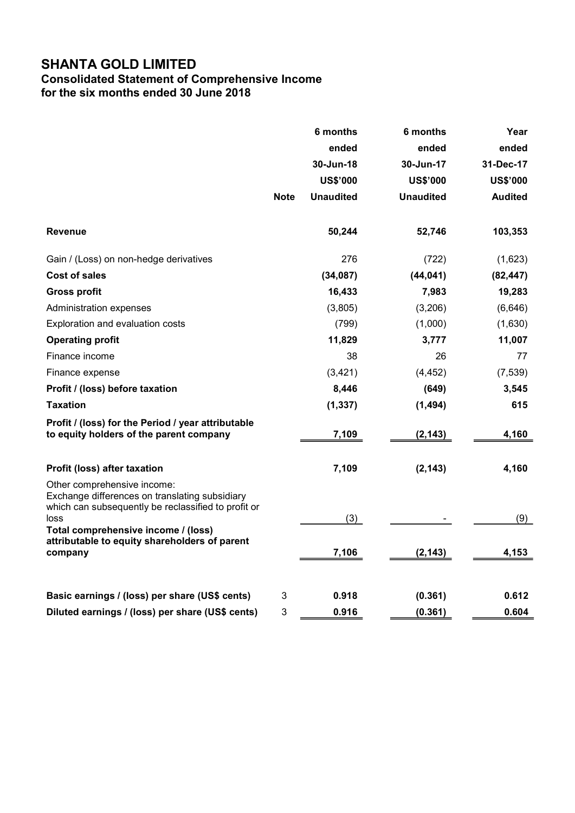## Consolidated Statement of Comprehensive Income for the six months ended 30 June 2018

|                                                                                                                                                                                                                                                 |             | 6 months         | 6 months         | Year            |
|-------------------------------------------------------------------------------------------------------------------------------------------------------------------------------------------------------------------------------------------------|-------------|------------------|------------------|-----------------|
|                                                                                                                                                                                                                                                 |             | ended            | ended            | ended           |
|                                                                                                                                                                                                                                                 |             | 30-Jun-18        | 30-Jun-17        | 31-Dec-17       |
|                                                                                                                                                                                                                                                 |             | <b>US\$'000</b>  | <b>US\$'000</b>  | <b>US\$'000</b> |
|                                                                                                                                                                                                                                                 | <b>Note</b> | <b>Unaudited</b> | <b>Unaudited</b> | <b>Audited</b>  |
| <b>Revenue</b>                                                                                                                                                                                                                                  |             | 50,244           | 52,746           | 103,353         |
| Gain / (Loss) on non-hedge derivatives                                                                                                                                                                                                          |             | 276              | (722)            | (1,623)         |
| <b>Cost of sales</b>                                                                                                                                                                                                                            |             | (34,087)         | (44, 041)        | (82, 447)       |
| <b>Gross profit</b>                                                                                                                                                                                                                             |             | 16,433           | 7,983            | 19,283          |
| Administration expenses                                                                                                                                                                                                                         |             | (3,805)          | (3,206)          | (6,646)         |
| Exploration and evaluation costs                                                                                                                                                                                                                |             | (799)            | (1,000)          | (1,630)         |
| <b>Operating profit</b>                                                                                                                                                                                                                         |             | 11,829           | 3,777            | 11,007          |
| Finance income                                                                                                                                                                                                                                  |             | 38               | 26               | 77              |
| Finance expense                                                                                                                                                                                                                                 |             | (3,421)          | (4, 452)         | (7, 539)        |
| Profit / (loss) before taxation                                                                                                                                                                                                                 |             | 8,446            | (649)            | 3,545           |
| <b>Taxation</b>                                                                                                                                                                                                                                 |             | (1, 337)         | (1, 494)         | 615             |
| Profit / (loss) for the Period / year attributable<br>to equity holders of the parent company                                                                                                                                                   |             | 7,109            | (2, 143)         | 4,160           |
| Profit (loss) after taxation                                                                                                                                                                                                                    |             | 7,109            | (2, 143)         | 4,160           |
| Other comprehensive income:<br>Exchange differences on translating subsidiary<br>which can subsequently be reclassified to profit or<br>loss<br>Total comprehensive income / (loss)<br>attributable to equity shareholders of parent<br>company |             | (3)<br>7,106     | (2, 143)         | (9)<br>4,153    |
| Basic earnings / (loss) per share (US\$ cents)                                                                                                                                                                                                  | 3           | 0.918            | (0.361)          | 0.612           |
| Diluted earnings / (loss) per share (US\$ cents)                                                                                                                                                                                                | 3           | 0.916            | (0.361)          | 0.604           |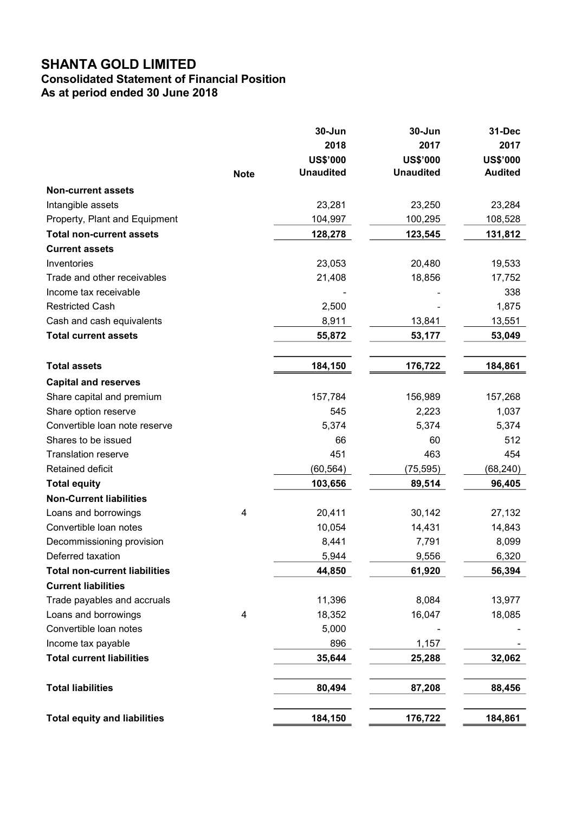## Consolidated Statement of Financial Position As at period ended 30 June 2018

|                                                          | <b>Note</b> | 30-Jun<br>2018<br><b>US\$'000</b><br><b>Unaudited</b> | 30-Jun<br>2017<br><b>US\$'000</b><br><b>Unaudited</b> | 31-Dec<br>2017<br><b>US\$'000</b><br><b>Audited</b> |
|----------------------------------------------------------|-------------|-------------------------------------------------------|-------------------------------------------------------|-----------------------------------------------------|
|                                                          |             |                                                       |                                                       |                                                     |
| <b>Non-current assets</b>                                |             |                                                       |                                                       |                                                     |
| Intangible assets                                        |             | 23,281                                                | 23,250                                                | 23,284                                              |
| Property, Plant and Equipment                            |             | 104,997                                               | 100,295                                               | 108,528                                             |
| <b>Total non-current assets</b><br><b>Current assets</b> |             | 128,278                                               | 123,545                                               | 131,812                                             |
| Inventories                                              |             |                                                       |                                                       |                                                     |
| Trade and other receivables                              |             | 23,053                                                | 20,480                                                | 19,533                                              |
|                                                          |             | 21,408                                                | 18,856                                                | 17,752<br>338                                       |
| Income tax receivable                                    |             |                                                       |                                                       |                                                     |
| <b>Restricted Cash</b><br>Cash and cash equivalents      |             | 2,500                                                 |                                                       | 1,875                                               |
|                                                          |             | 8,911                                                 | 13,841                                                | 13,551                                              |
| <b>Total current assets</b>                              |             | 55,872                                                | 53,177                                                | 53,049                                              |
| <b>Total assets</b>                                      |             | 184,150                                               | 176,722                                               | 184,861                                             |
| <b>Capital and reserves</b>                              |             |                                                       |                                                       |                                                     |
| Share capital and premium                                |             | 157,784                                               | 156,989                                               | 157,268                                             |
| Share option reserve                                     |             | 545                                                   | 2,223                                                 | 1,037                                               |
| Convertible loan note reserve                            |             | 5,374                                                 | 5,374                                                 | 5,374                                               |
| Shares to be issued                                      |             | 66                                                    | 60                                                    | 512                                                 |
| <b>Translation reserve</b>                               |             | 451                                                   | 463                                                   | 454                                                 |
| Retained deficit                                         |             | (60, 564)                                             | (75, 595)                                             | (68,240)                                            |
| <b>Total equity</b>                                      |             | 103,656                                               | 89,514                                                | 96,405                                              |
| <b>Non-Current liabilities</b>                           |             |                                                       |                                                       |                                                     |
| Loans and borrowings                                     | 4           | 20,411                                                | 30,142                                                | 27,132                                              |
| Convertible loan notes                                   |             | 10,054                                                | 14,431                                                | 14,843                                              |
| Decommissioning provision                                |             | 8,441                                                 | 7,791                                                 | 8,099                                               |
| Deferred taxation                                        |             | 5,944                                                 | 9,556                                                 | 6,320                                               |
| <b>Total non-current liabilities</b>                     |             | 44,850                                                | 61,920                                                | 56,394                                              |
| <b>Current liabilities</b>                               |             |                                                       |                                                       |                                                     |
| Trade payables and accruals                              |             | 11,396                                                | 8,084                                                 | 13,977                                              |
| Loans and borrowings                                     | 4           | 18,352                                                | 16,047                                                | 18,085                                              |
| Convertible loan notes                                   |             | 5,000                                                 |                                                       |                                                     |
| Income tax payable                                       |             | 896                                                   | 1,157                                                 |                                                     |
| <b>Total current liabilities</b>                         |             | 35,644                                                | 25,288                                                | 32,062                                              |
| <b>Total liabilities</b>                                 |             | 80,494                                                | 87,208                                                | 88,456                                              |
| <b>Total equity and liabilities</b>                      |             | 184,150                                               | 176,722                                               | 184,861                                             |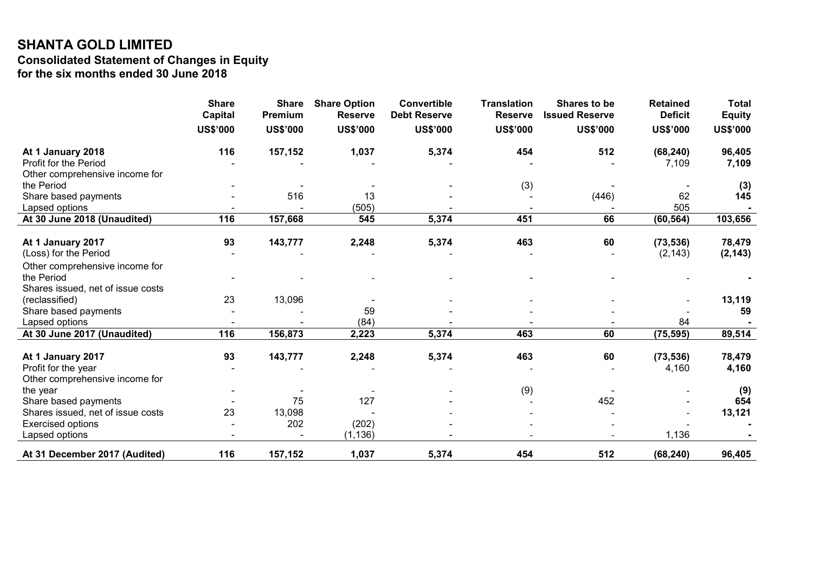## SHANTA GOLD LIMITED Consolidated Statement of Changes in Equity for the six months ended 30 June 2018

|                                   | <b>Share</b><br><b>Capital</b> | <b>Share</b><br>Premium | <b>Share Option</b><br><b>Reserve</b> | <b>Convertible</b><br><b>Debt Reserve</b> | <b>Translation</b><br><b>Reserve</b> | Shares to be<br><b>Issued Reserve</b> | <b>Retained</b><br><b>Deficit</b> | <b>Total</b>    |
|-----------------------------------|--------------------------------|-------------------------|---------------------------------------|-------------------------------------------|--------------------------------------|---------------------------------------|-----------------------------------|-----------------|
|                                   |                                |                         |                                       |                                           |                                      |                                       |                                   | <b>Equity</b>   |
|                                   | <b>US\$'000</b>                | <b>US\$'000</b>         | <b>US\$'000</b>                       | <b>US\$'000</b>                           | <b>US\$'000</b>                      | <b>US\$'000</b>                       | <b>US\$'000</b>                   | <b>US\$'000</b> |
| At 1 January 2018                 | 116                            | 157,152                 | 1,037                                 | 5,374                                     | 454                                  | 512                                   | (68, 240)                         | 96,405          |
| Profit for the Period             |                                |                         |                                       |                                           |                                      |                                       | 7,109                             | 7,109           |
| Other comprehensive income for    |                                |                         |                                       |                                           |                                      |                                       |                                   |                 |
| the Period                        |                                |                         |                                       |                                           | (3)                                  |                                       |                                   | (3)             |
| Share based payments              |                                | 516                     | 13                                    |                                           |                                      | (446)                                 | 62                                | 145             |
| Lapsed options                    |                                |                         | (505)                                 |                                           |                                      |                                       | 505                               |                 |
| At 30 June 2018 (Unaudited)       | 116                            | 157,668                 | 545                                   | 5,374                                     | 451                                  | 66                                    | (60, 564)                         | 103,656         |
| At 1 January 2017                 | 93                             | 143,777                 | 2,248                                 | 5,374                                     | 463                                  | 60                                    | (73, 536)                         | 78,479          |
| (Loss) for the Period             |                                |                         |                                       |                                           |                                      |                                       | (2, 143)                          | (2, 143)        |
| Other comprehensive income for    |                                |                         |                                       |                                           |                                      |                                       |                                   |                 |
| the Period                        |                                |                         |                                       |                                           |                                      |                                       |                                   |                 |
| Shares issued, net of issue costs |                                |                         |                                       |                                           |                                      |                                       |                                   |                 |
| (reclassified)                    | 23                             | 13,096                  |                                       |                                           |                                      |                                       |                                   | 13,119          |
| Share based payments              |                                |                         | 59                                    |                                           |                                      |                                       |                                   | 59              |
| Lapsed options                    |                                |                         | (84)                                  |                                           |                                      |                                       | 84                                |                 |
| At 30 June 2017 (Unaudited)       | 116                            | 156,873                 | 2,223                                 | 5,374                                     | 463                                  | 60                                    | (75, 595)                         | 89,514          |
| At 1 January 2017                 | 93                             | 143,777                 | 2,248                                 | 5,374                                     | 463                                  | 60                                    | (73, 536)                         | 78,479          |
| Profit for the year               |                                |                         |                                       |                                           |                                      |                                       | 4,160                             | 4,160           |
| Other comprehensive income for    |                                |                         |                                       |                                           |                                      |                                       |                                   |                 |
| the year                          |                                |                         |                                       |                                           | (9)                                  |                                       |                                   | (9)             |
| Share based payments              |                                | 75                      | 127                                   |                                           |                                      | 452                                   |                                   | 654             |
| Shares issued, net of issue costs | 23                             | 13,098                  |                                       |                                           |                                      |                                       |                                   | 13,121          |
| <b>Exercised options</b>          |                                | 202                     | (202)                                 |                                           |                                      |                                       |                                   |                 |
| Lapsed options                    |                                |                         | (1, 136)                              |                                           |                                      |                                       | 1,136                             |                 |
| At 31 December 2017 (Audited)     | 116                            | 157,152                 | 1,037                                 | 5,374                                     | 454                                  | 512                                   | (68, 240)                         | 96,405          |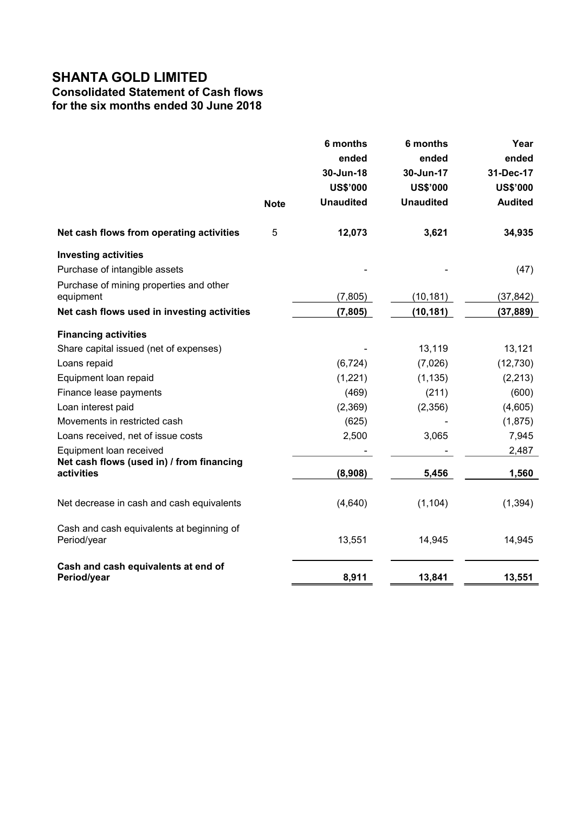# Consolidated Statement of Cash flows

for the six months ended 30 June 2018

|                                                          |             | 6 months                     | 6 months                     | Year                         |
|----------------------------------------------------------|-------------|------------------------------|------------------------------|------------------------------|
|                                                          |             | ended                        | ended                        | ended                        |
|                                                          |             | 30-Jun-18<br><b>US\$'000</b> | 30-Jun-17<br><b>US\$'000</b> | 31-Dec-17<br><b>US\$'000</b> |
|                                                          |             | <b>Unaudited</b>             | <b>Unaudited</b>             | <b>Audited</b>               |
|                                                          | <b>Note</b> |                              |                              |                              |
| Net cash flows from operating activities                 | 5           | 12,073                       | 3,621                        | 34,935                       |
| <b>Investing activities</b>                              |             |                              |                              |                              |
| Purchase of intangible assets                            |             |                              |                              | (47)                         |
| Purchase of mining properties and other                  |             |                              |                              |                              |
| equipment                                                |             | (7, 805)                     | (10, 181)                    | (37, 842)                    |
| Net cash flows used in investing activities              |             | (7, 805)                     | (10, 181)                    | (37, 889)                    |
| <b>Financing activities</b>                              |             |                              |                              |                              |
| Share capital issued (net of expenses)                   |             |                              | 13,119                       | 13,121                       |
| Loans repaid                                             |             | (6, 724)                     | (7,026)                      | (12, 730)                    |
| Equipment loan repaid                                    |             | (1,221)                      | (1, 135)                     | (2, 213)                     |
| Finance lease payments                                   |             | (469)                        | (211)                        | (600)                        |
| Loan interest paid                                       |             | (2,369)                      | (2,356)                      | (4,605)                      |
| Movements in restricted cash                             |             | (625)                        |                              | (1, 875)                     |
| Loans received, net of issue costs                       |             | 2,500                        | 3,065                        | 7,945                        |
| Equipment loan received                                  |             |                              |                              | 2,487                        |
| Net cash flows (used in) / from financing<br>activities  |             | (8,908)                      | 5,456                        | 1,560                        |
| Net decrease in cash and cash equivalents                |             | (4,640)                      | (1, 104)                     | (1, 394)                     |
| Cash and cash equivalents at beginning of<br>Period/year |             | 13,551                       | 14,945                       | 14,945                       |
| Cash and cash equivalents at end of<br>Period/year       |             | 8,911                        | 13,841                       | 13,551                       |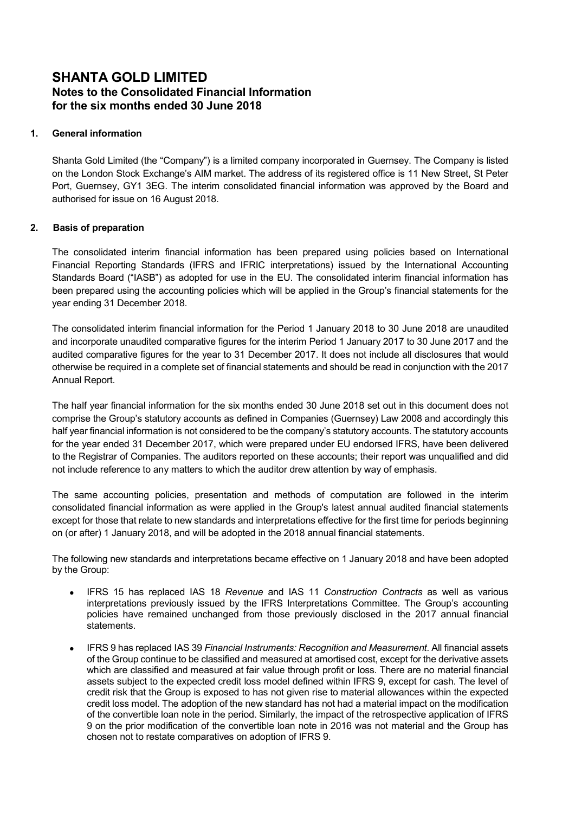## SHANTA GOLD LIMITED Notes to the Consolidated Financial Information for the six months ended 30 June 2018

### 1. General information

Shanta Gold Limited (the "Company") is a limited company incorporated in Guernsey. The Company is listed on the London Stock Exchange's AIM market. The address of its registered office is 11 New Street, St Peter Port, Guernsey, GY1 3EG. The interim consolidated financial information was approved by the Board and authorised for issue on 16 August 2018.

### 2. Basis of preparation

The consolidated interim financial information has been prepared using policies based on International Financial Reporting Standards (IFRS and IFRIC interpretations) issued by the International Accounting Standards Board ("IASB") as adopted for use in the EU. The consolidated interim financial information has been prepared using the accounting policies which will be applied in the Group's financial statements for the year ending 31 December 2018.

The consolidated interim financial information for the Period 1 January 2018 to 30 June 2018 are unaudited and incorporate unaudited comparative figures for the interim Period 1 January 2017 to 30 June 2017 and the audited comparative figures for the year to 31 December 2017. It does not include all disclosures that would otherwise be required in a complete set of financial statements and should be read in conjunction with the 2017 Annual Report.

The half year financial information for the six months ended 30 June 2018 set out in this document does not comprise the Group's statutory accounts as defined in Companies (Guernsey) Law 2008 and accordingly this half year financial information is not considered to be the company's statutory accounts. The statutory accounts for the year ended 31 December 2017, which were prepared under EU endorsed IFRS, have been delivered to the Registrar of Companies. The auditors reported on these accounts; their report was unqualified and did not include reference to any matters to which the auditor drew attention by way of emphasis.

The same accounting policies, presentation and methods of computation are followed in the interim consolidated financial information as were applied in the Group's latest annual audited financial statements except for those that relate to new standards and interpretations effective for the first time for periods beginning on (or after) 1 January 2018, and will be adopted in the 2018 annual financial statements.

The following new standards and interpretations became effective on 1 January 2018 and have been adopted by the Group:

- IFRS 15 has replaced IAS 18 Revenue and IAS 11 Construction Contracts as well as various interpretations previously issued by the IFRS Interpretations Committee. The Group's accounting policies have remained unchanged from those previously disclosed in the 2017 annual financial statements.
- IFRS 9 has replaced IAS 39 Financial Instruments: Recognition and Measurement. All financial assets of the Group continue to be classified and measured at amortised cost, except for the derivative assets which are classified and measured at fair value through profit or loss. There are no material financial assets subject to the expected credit loss model defined within IFRS 9, except for cash. The level of credit risk that the Group is exposed to has not given rise to material allowances within the expected credit loss model. The adoption of the new standard has not had a material impact on the modification of the convertible loan note in the period. Similarly, the impact of the retrospective application of IFRS 9 on the prior modification of the convertible loan note in 2016 was not material and the Group has chosen not to restate comparatives on adoption of IFRS 9.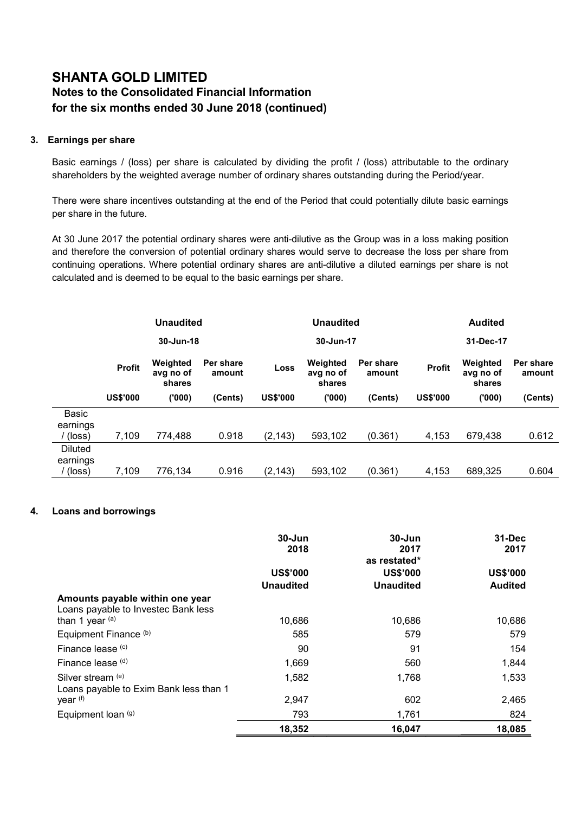# SHANTA GOLD LIMITED Notes to the Consolidated Financial Information for the six months ended 30 June 2018 (continued)

### 3. Earnings per share

Basic earnings / (loss) per share is calculated by dividing the profit / (loss) attributable to the ordinary shareholders by the weighted average number of ordinary shares outstanding during the Period/year.

There were share incentives outstanding at the end of the Period that could potentially dilute basic earnings per share in the future.

At 30 June 2017 the potential ordinary shares were anti-dilutive as the Group was in a loss making position and therefore the conversion of potential ordinary shares would serve to decrease the loss per share from continuing operations. Where potential ordinary shares are anti-dilutive a diluted earnings per share is not calculated and is deemed to be equal to the basic earnings per share.

|                                               |                 | <b>Unaudited</b>                |                     |                 | <b>Unaudited</b>                |                     |                 | <b>Audited</b>                  |                     |  |
|-----------------------------------------------|-----------------|---------------------------------|---------------------|-----------------|---------------------------------|---------------------|-----------------|---------------------------------|---------------------|--|
|                                               |                 | 30-Jun-18                       |                     |                 | 30-Jun-17<br>31-Dec-17          |                     |                 |                                 |                     |  |
|                                               | <b>Profit</b>   | Weighted<br>avg no of<br>shares | Per share<br>amount | <b>Loss</b>     | Weighted<br>avg no of<br>shares | Per share<br>amount | <b>Profit</b>   | Weighted<br>avg no of<br>shares | Per share<br>amount |  |
|                                               | <b>US\$'000</b> | (000)                           | (Cents)             | <b>US\$'000</b> | ('000)                          | (Cents)             | <b>US\$'000</b> | (000)                           | (Cents)             |  |
| Basic<br>earnings<br>(loss)                   | 7,109           | 774.488                         | 0.918               | (2, 143)        | 593,102                         | (0.361)             | 4,153           | 679.438                         | 0.612               |  |
| <b>Diluted</b><br>earnings<br>$(\text{loss})$ | 7,109           | 776,134                         | 0.916               | (2, 143)        | 593,102                         | (0.361)             | 4,153           | 689,325                         | 0.604               |  |

### 4. Loans and borrowings

|                                                                        | $30 - Jun$<br>2018                  | $30 - Jun$<br>2017<br>as restated*  | $31 - Dec$<br>2017                |
|------------------------------------------------------------------------|-------------------------------------|-------------------------------------|-----------------------------------|
|                                                                        | <b>US\$'000</b><br><b>Unaudited</b> | <b>US\$'000</b><br><b>Unaudited</b> | <b>US\$'000</b><br><b>Audited</b> |
| Amounts payable within one year<br>Loans payable to Investec Bank less |                                     |                                     |                                   |
| than 1 year $(a)$                                                      | 10,686                              | 10,686                              | 10,686                            |
| Equipment Finance (b)                                                  | 585                                 | 579                                 | 579                               |
| Finance lease (c)                                                      | 90                                  | 91                                  | 154                               |
| Finance lease $(d)$                                                    | 1,669                               | 560                                 | 1,844                             |
| Silver stream (e)<br>Loans payable to Exim Bank less than 1            | 1,582                               | 1,768                               | 1,533                             |
| year (f)                                                               | 2,947                               | 602                                 | 2,465                             |
| Equipment loan (g)                                                     | 793                                 | 1,761                               | 824                               |
|                                                                        | 18,352                              | 16,047                              | 18,085                            |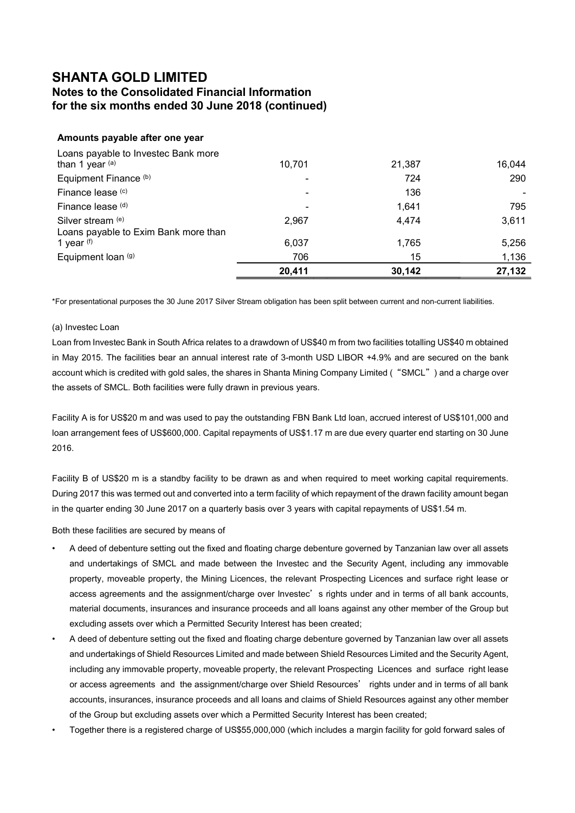## Notes to the Consolidated Financial Information for the six months ended 30 June 2018 (continued)

### Amounts payable after one year

| Loans payable to Investec Bank more<br>than 1 year $(a)$ | 10,701 | 21,387 | 16,044 |
|----------------------------------------------------------|--------|--------|--------|
| Equipment Finance (b)                                    |        | 724    | 290    |
| Finance lease (c)                                        | -      | 136    |        |
| Finance lease (d)                                        |        | 1.641  | 795    |
| Silver stream (e)                                        | 2,967  | 4.474  | 3,611  |
| Loans payable to Exim Bank more than                     |        |        |        |
| 1 year $(f)$                                             | 6,037  | 1,765  | 5,256  |
| Equipment loan (g)                                       | 706    | 15     | 1,136  |
|                                                          | 20,411 | 30,142 | 27,132 |

\*For presentational purposes the 30 June 2017 Silver Stream obligation has been split between current and non-current liabilities.

#### (a) Investec Loan

Loan from Investec Bank in South Africa relates to a drawdown of US\$40 m from two facilities totalling US\$40 m obtained in May 2015. The facilities bear an annual interest rate of 3-month USD LIBOR +4.9% and are secured on the bank account which is credited with gold sales, the shares in Shanta Mining Company Limited ("SMCL") and a charge over the assets of SMCL. Both facilities were fully drawn in previous years.

Facility A is for US\$20 m and was used to pay the outstanding FBN Bank Ltd loan, accrued interest of US\$101,000 and loan arrangement fees of US\$600,000. Capital repayments of US\$1.17 m are due every quarter end starting on 30 June 2016.

Facility B of US\$20 m is a standby facility to be drawn as and when required to meet working capital requirements. During 2017 this was termed out and converted into a term facility of which repayment of the drawn facility amount began in the quarter ending 30 June 2017 on a quarterly basis over 3 years with capital repayments of US\$1.54 m.

Both these facilities are secured by means of

- A deed of debenture setting out the fixed and floating charge debenture governed by Tanzanian law over all assets and undertakings of SMCL and made between the Investec and the Security Agent, including any immovable property, moveable property, the Mining Licences, the relevant Prospecting Licences and surface right lease or access agreements and the assignment/charge over Investec's rights under and in terms of all bank accounts, material documents, insurances and insurance proceeds and all loans against any other member of the Group but excluding assets over which a Permitted Security Interest has been created;
- A deed of debenture setting out the fixed and floating charge debenture governed by Tanzanian law over all assets and undertakings of Shield Resources Limited and made between Shield Resources Limited and the Security Agent, including any immovable property, moveable property, the relevant Prospecting Licences and surface right lease or access agreements and the assignment/charge over Shield Resources' rights under and in terms of all bank accounts, insurances, insurance proceeds and all loans and claims of Shield Resources against any other member of the Group but excluding assets over which a Permitted Security Interest has been created;
- Together there is a registered charge of US\$55,000,000 (which includes a margin facility for gold forward sales of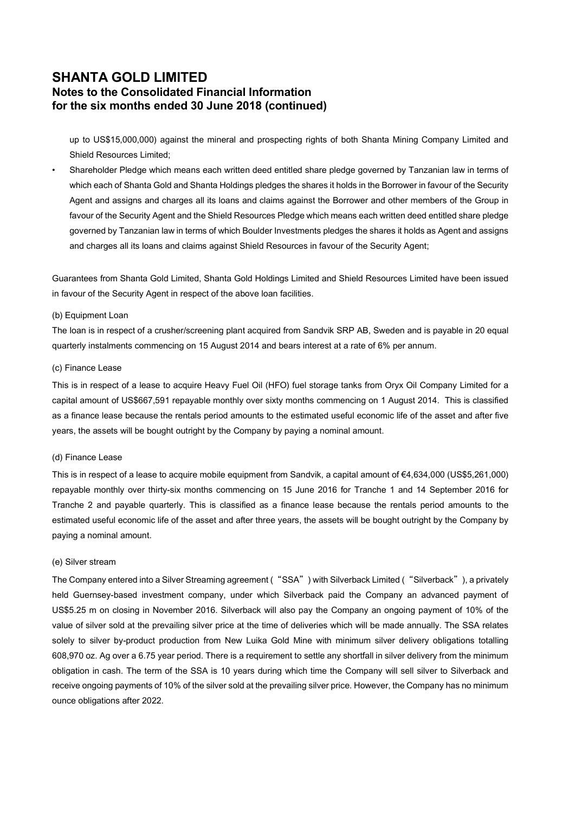## SHANTA GOLD LIMITED Notes to the Consolidated Financial Information for the six months ended 30 June 2018 (continued)

up to US\$15,000,000) against the mineral and prospecting rights of both Shanta Mining Company Limited and Shield Resources Limited;

• Shareholder Pledge which means each written deed entitled share pledge governed by Tanzanian law in terms of which each of Shanta Gold and Shanta Holdings pledges the shares it holds in the Borrower in favour of the Security Agent and assigns and charges all its loans and claims against the Borrower and other members of the Group in favour of the Security Agent and the Shield Resources Pledge which means each written deed entitled share pledge governed by Tanzanian law in terms of which Boulder Investments pledges the shares it holds as Agent and assigns and charges all its loans and claims against Shield Resources in favour of the Security Agent;

Guarantees from Shanta Gold Limited, Shanta Gold Holdings Limited and Shield Resources Limited have been issued in favour of the Security Agent in respect of the above loan facilities.

#### (b) Equipment Loan

The loan is in respect of a crusher/screening plant acquired from Sandvik SRP AB, Sweden and is payable in 20 equal quarterly instalments commencing on 15 August 2014 and bears interest at a rate of 6% per annum.

#### (c) Finance Lease

This is in respect of a lease to acquire Heavy Fuel Oil (HFO) fuel storage tanks from Oryx Oil Company Limited for a capital amount of US\$667,591 repayable monthly over sixty months commencing on 1 August 2014. This is classified as a finance lease because the rentals period amounts to the estimated useful economic life of the asset and after five years, the assets will be bought outright by the Company by paying a nominal amount.

#### (d) Finance Lease

This is in respect of a lease to acquire mobile equipment from Sandvik, a capital amount of €4,634,000 (US\$5,261,000) repayable monthly over thirty-six months commencing on 15 June 2016 for Tranche 1 and 14 September 2016 for Tranche 2 and payable quarterly. This is classified as a finance lease because the rentals period amounts to the estimated useful economic life of the asset and after three years, the assets will be bought outright by the Company by paying a nominal amount.

#### (e) Silver stream

The Company entered into a Silver Streaming agreement ("SSA") with Silverback Limited ("Silverback"), a privately held Guernsey-based investment company, under which Silverback paid the Company an advanced payment of US\$5.25 m on closing in November 2016. Silverback will also pay the Company an ongoing payment of 10% of the value of silver sold at the prevailing silver price at the time of deliveries which will be made annually. The SSA relates solely to silver by-product production from New Luika Gold Mine with minimum silver delivery obligations totalling 608,970 oz. Ag over a 6.75 year period. There is a requirement to settle any shortfall in silver delivery from the minimum obligation in cash. The term of the SSA is 10 years during which time the Company will sell silver to Silverback and receive ongoing payments of 10% of the silver sold at the prevailing silver price. However, the Company has no minimum ounce obligations after 2022.